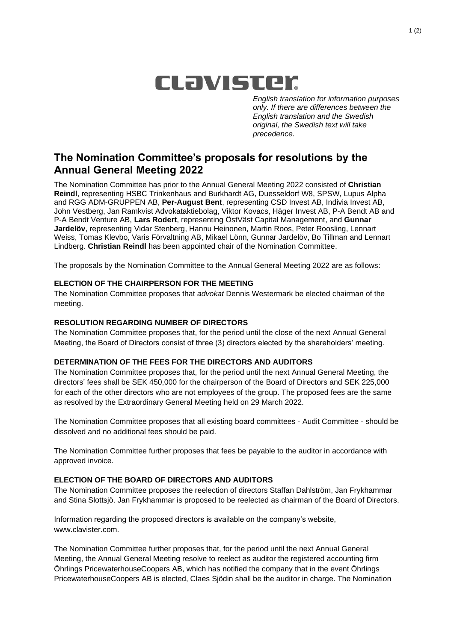# CLavister

*English translation for information purposes only. If there are differences between the English translation and the Swedish original, the Swedish text will take precedence.*

## **The Nomination Committee's proposals for resolutions by the Annual General Meeting 2022**

The Nomination Committee has prior to the Annual General Meeting 2022 consisted of **Christian Reindl**, representing HSBC Trinkenhaus and Burkhardt AG, Duesseldorf W8, SPSW, Lupus Alpha and RGG ADM-GRUPPEN AB, **Per-August Bent**, representing CSD Invest AB, Indivia Invest AB, John Vestberg, Jan Ramkvist Advokataktiebolag, Viktor Kovacs, Häger Invest AB, P-A Bendt AB and P-A Bendt Venture AB, **Lars Rodert**, representing ÖstVäst Capital Management, and **Gunnar Jardelöv**, representing Vidar Stenberg, Hannu Heinonen, Martin Roos, Peter Roosling, Lennart Weiss, Tomas Klevbo, Varis Förvaltning AB, Mikael Lönn, Gunnar Jardelöv, Bo Tillman and Lennart Lindberg. **Christian Reindl** has been appointed chair of the Nomination Committee.

The proposals by the Nomination Committee to the Annual General Meeting 2022 are as follows:

#### **ELECTION OF THE CHAIRPERSON FOR THE MEETING**

The Nomination Committee proposes that *advokat* Dennis Westermark be elected chairman of the meeting.

#### **RESOLUTION REGARDING NUMBER OF DIRECTORS**

The Nomination Committee proposes that, for the period until the close of the next Annual General Meeting, the Board of Directors consist of three (3) directors elected by the shareholders' meeting.

#### **DETERMINATION OF THE FEES FOR THE DIRECTORS AND AUDITORS**

The Nomination Committee proposes that, for the period until the next Annual General Meeting, the directors' fees shall be SEK 450,000 for the chairperson of the Board of Directors and SEK 225,000 for each of the other directors who are not employees of the group. The proposed fees are the same as resolved by the Extraordinary General Meeting held on 29 March 2022.

The Nomination Committee proposes that all existing board committees - Audit Committee - should be dissolved and no additional fees should be paid.

The Nomination Committee further proposes that fees be payable to the auditor in accordance with approved invoice.

#### **ELECTION OF THE BOARD OF DIRECTORS AND AUDITORS**

The Nomination Committee proposes the reelection of directors Staffan Dahlström, Jan Frykhammar and Stina Slottsjö. Jan Frykhammar is proposed to be reelected as chairman of the Board of Directors.

Information regarding the proposed directors is available on the company's website, www.clavister.com.

The Nomination Committee further proposes that, for the period until the next Annual General Meeting, the Annual General Meeting resolve to reelect as auditor the registered accounting firm Öhrlings PricewaterhouseCoopers AB, which has notified the company that in the event Öhrlings PricewaterhouseCoopers AB is elected, Claes Sjödin shall be the auditor in charge. The Nomination